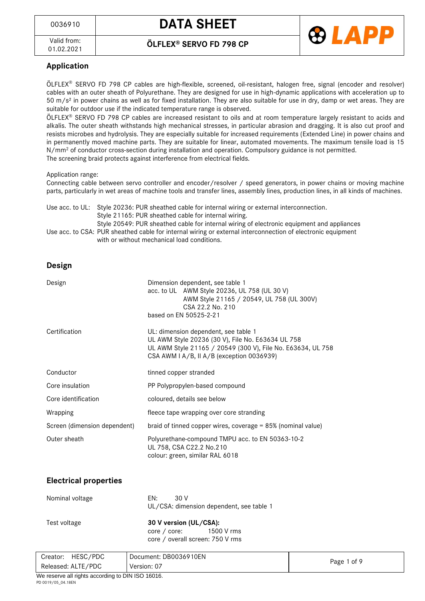



### **Application**

ÖLFLEX<sup>®</sup> SERVO FD 798 CP cables are high-flexible, screened, oil-resistant, halogen free, signal (encoder and resolver) cables with an outer sheath of Polyurethane. They are designed for use in high-dynamic applications with acceleration up to 50 m/s² in power chains as well as for fixed installation. They are also suitable for use in dry, damp or wet areas. They are suitable for outdoor use if the indicated temperature range is observed.

ÖLFLEX® SERVO FD 798 CP cables are increased resistant to oils and at room temperature largely resistant to acids and alkalis. The outer sheath withstands high mechanical stresses, in particular abrasion and dragging. It is also cut proof and resists microbes and hydrolysis. They are especially suitable for increased requirements (Extended Line) in power chains and in permanently moved machine parts. They are suitable for linear, automated movements. The maximum tensile load is 15 N/mm<sup>2</sup> of conductor cross-section during installation and operation. Compulsory guidance is not permitted. The screening braid protects against interference from electrical fields.

#### Application range:

Connecting cable between servo controller and encoder/resolver / speed generators, in power chains or moving machine parts, particularly in wet areas of machine tools and transfer lines, assembly lines, production lines, in all kinds of machines.

Use acc. to UL: Style 20236: PUR sheathed cable for internal wiring or external interconnection. Style 21165: PUR sheathed cable for internal wiring. Style 20549: PUR sheathed cable for internal wiring of electronic equipment and appliances Use acc. to CSA: PUR sheathed cable for internal wiring or external interconnection of electronic equipment with or without mechanical load conditions.

#### **Design**

| Design                       | Dimension dependent, see table 1<br>acc. to UL AWM Style 20236, UL 758 (UL 30 V)<br>AWM Style 21165 / 20549, UL 758 (UL 300V)<br>CSA 22.2 No. 210<br>based on EN 50525-2-21                           |
|------------------------------|-------------------------------------------------------------------------------------------------------------------------------------------------------------------------------------------------------|
| Certification                | UL: dimension dependent, see table 1<br>UL AWM Style 20236 (30 V), File No. E63634 UL 758<br>UL AWM Style 21165 / 20549 (300 V), File No. E63634, UL 758<br>CSA AWM I A/B, II A/B (exception 0036939) |
| Conductor                    | tinned copper stranded                                                                                                                                                                                |
| Core insulation              | PP Polypropylen-based compound                                                                                                                                                                        |
| Core identification          | coloured, details see below                                                                                                                                                                           |
| Wrapping                     | fleece tape wrapping over core stranding                                                                                                                                                              |
| Screen (dimension dependent) | braid of tinned copper wires, coverage $= 85\%$ (nominal value)                                                                                                                                       |
| Outer sheath                 | Polyurethane-compound TMPU acc. to EN 50363-10-2<br>UL 758, CSA C22.2 No.210<br>colour: green, similar RAL 6018                                                                                       |

### **Electrical properties**

| Nominal voltage | -30 V<br>FN:<br>UL/CSA: dimension dependent, see table 1 |
|-----------------|----------------------------------------------------------|
| Test voltage    | 30 V version (UL/CSA):<br>core / core: 1500 V rms        |
|                 | core / overall screen: 750 V rms                         |

| HESC/PDC<br>Creator:                                       | Document: DB0036910EN |             |  |
|------------------------------------------------------------|-----------------------|-------------|--|
| Released: ALTE/PDC                                         | Version: 07           | Page 1 of 9 |  |
| $M_{\odot}$ seconds all sinkin executive to DIM IOO 40040. |                       |             |  |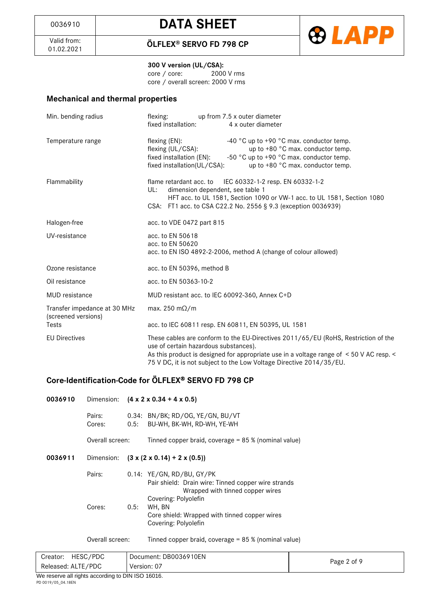

01.02.2021 **ÖLFLEX® SERVO FD 798 CP**

**300 V version (UL/CSA):**<br>
core / core: 2000 V rms core / core: core / overall screen: 2000 V rms

### **Mechanical and thermal properties**

| Min. bending radius                                 | flexing: up from 7.5 x outer diameter<br>fixed installation:<br>4 x outer diameter                                                                                                                                                                                                            |
|-----------------------------------------------------|-----------------------------------------------------------------------------------------------------------------------------------------------------------------------------------------------------------------------------------------------------------------------------------------------|
| Temperature range                                   | flexing (EN):<br>-40 $^{\circ}$ C up to +90 $^{\circ}$ C max. conductor temp.<br>up to +80 °C max. conductor temp.<br>flexing (UL/CSA):<br>-50 °C up to +90 °C max. conductor temp.<br>fixed installation (EN):<br>fixed installation(UL/CSA):<br>up to +80 °C max. conductor temp.           |
| Flammability                                        | flame retardant acc. to IEC 60332-1-2 resp. EN 60332-1-2<br>dimension dependent, see table 1<br>UL:<br>HFT acc. to UL 1581, Section 1090 or VW-1 acc. to UL 1581, Section 1080<br>CSA: FT1 acc. to CSA C22.2 No. 2556 § 9.3 (exception 0036939)                                               |
| Halogen-free                                        | acc. to VDE 0472 part 815                                                                                                                                                                                                                                                                     |
| UV-resistance                                       | acc. to EN 50618<br>acc. to EN 50620<br>acc. to EN ISO 4892-2-2006, method A (change of colour allowed)                                                                                                                                                                                       |
| Ozone resistance                                    | acc. to EN 50396, method B                                                                                                                                                                                                                                                                    |
| Oil resistance                                      | acc. to EN 50363-10-2                                                                                                                                                                                                                                                                         |
| <b>MUD</b> resistance                               | MUD resistant acc. to IEC 60092-360, Annex C+D                                                                                                                                                                                                                                                |
| Transfer impedance at 30 MHz<br>(screened versions) | max. 250 m $\Omega/m$                                                                                                                                                                                                                                                                         |
| Tests                                               | acc. to IEC 60811 resp. EN 60811, EN 50395, UL 1581                                                                                                                                                                                                                                           |
| <b>EU Directives</b>                                | These cables are conform to the EU-Directives 2011/65/EU (RoHS, Restriction of the<br>use of certain hazardous substances).<br>As this product is designed for appropriate use in a voltage range of < 50 V AC resp. <<br>75 V DC, it is not subject to the Low Voltage Directive 2014/35/EU. |

## **Core-Identification-Code for ÖLFLEX SERVO FD 798 CP**

| 0036910 | Dimension:       |      | $(4 \times 2 \times 0.34 + 4 \times 0.5)$                                                                               |
|---------|------------------|------|-------------------------------------------------------------------------------------------------------------------------|
|         | Pairs:<br>Cores: | 0.5: | 0.34: BN/BK; RD/OG, YE/GN, BU/VT<br>BU-WH, BK-WH, RD-WH, YE-WH                                                          |
|         | Overall screen:  |      | Tinned copper braid, coverage = $85\%$ (nominal value)                                                                  |
| 0036911 | Dimension:       |      | $(3 \times (2 \times 0.14) + 2 \times (0.5))$                                                                           |
|         | Pairs:           |      | $0.14$ : YE/GN, RD/BU, GY/PK<br>Pair shield: Drain wire: Tinned copper wire strands<br>Wrapped with tinned copper wires |
|         | Cores:           | 0.5: | Covering: Polyolefin<br>WH, BN<br>Core shield: Wrapped with tinned copper wires<br>Covering: Polyolefin                 |
|         | Overall screen:  |      | Tinned copper braid, coverage = $85\%$ (nominal value)                                                                  |

| $\cdots$             | $-11112222222$        |             |
|----------------------|-----------------------|-------------|
| Released: ALTE/PDC   | Version: 07           | Page 2 of 9 |
| HESC/PDC<br>Creator: | Document: DB0036910EN |             |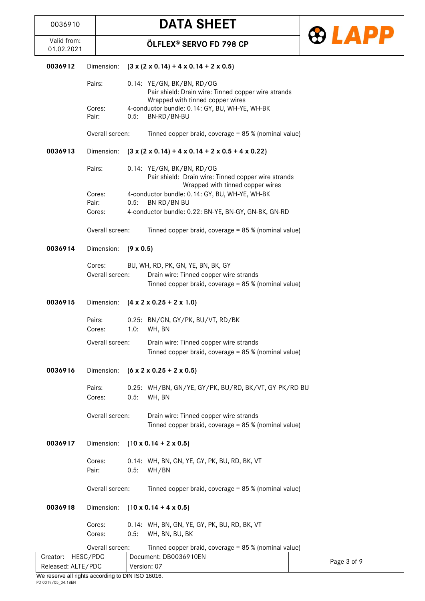

| 0036912 | Dimension:                | $(3 \times (2 \times 0.14) + 4 \times 0.14 + 2 \times 0.5)$                                                                          |  |
|---------|---------------------------|--------------------------------------------------------------------------------------------------------------------------------------|--|
|         | Pairs:                    | 0.14: YE/GN, BK/BN, RD/OG<br>Pair shield: Drain wire: Tinned copper wire strands<br>Wrapped with tinned copper wires                 |  |
|         | Cores:<br>Pair:           | 4-conductor bundle: 0.14: GY, BU, WH-YE, WH-BK<br>0.5:<br>BN-RD/BN-BU                                                                |  |
|         | Overall screen:           | Tinned copper braid, coverage = 85 % (nominal value)                                                                                 |  |
| 0036913 | Dimension:                | $(3 \times (2 \times 0.14) + 4 \times 0.14 + 2 \times 0.5 + 4 \times 0.22)$                                                          |  |
|         | Pairs:                    | 0.14: YE/GN, BK/BN, RD/OG<br>Pair shield: Drain wire: Tinned copper wire strands<br>Wrapped with tinned copper wires                 |  |
|         | Cores:<br>Pair:           | 4-conductor bundle: 0.14: GY, BU, WH-YE, WH-BK<br>BN-RD/BN-BU<br>0.5:                                                                |  |
|         | Cores:                    | 4-conductor bundle: 0.22: BN-YE, BN-GY, GN-BK, GN-RD                                                                                 |  |
|         | Overall screen:           | Tinned copper braid, coverage = 85 % (nominal value)                                                                                 |  |
| 0036914 | Dimension:                | $(9 \times 0.5)$                                                                                                                     |  |
|         | Cores:<br>Overall screen: | BU, WH, RD, PK, GN, YE, BN, BK, GY<br>Drain wire: Tinned copper wire strands<br>Tinned copper braid, coverage = 85 % (nominal value) |  |
| 0036915 | Dimension:                | $(4 \times 2 \times 0.25 + 2 \times 1.0)$                                                                                            |  |
|         | Pairs:<br>Cores:          | 0.25: BN/GN, GY/PK, BU/VT, RD/BK<br>1.0:<br>WH, BN                                                                                   |  |
|         | Overall screen:           | Drain wire: Tinned copper wire strands<br>Tinned copper braid, coverage = 85 % (nominal value)                                       |  |
| 0036916 | Dimension:                | $(6 \times 2 \times 0.25 + 2 \times 0.5)$                                                                                            |  |
|         | Pairs:<br>Cores:          | 0.25: WH/BN, GN/YE, GY/PK, BU/RD, BK/VT, GY-PK/RD-BU<br>0.5:<br>WH, BN                                                               |  |
|         | Overall screen:           | Drain wire: Tinned copper wire strands<br>Tinned copper braid, coverage = 85 % (nominal value)                                       |  |
| 0036917 | Dimension:                | $(10 \times 0.14 + 2 \times 0.5)$                                                                                                    |  |
|         | Cores:<br>Pair:           | 0.14: WH, BN, GN, YE, GY, PK, BU, RD, BK, VT<br>0.5:<br>WH/BN                                                                        |  |
|         | Overall screen:           | Tinned copper braid, coverage = 85 % (nominal value)                                                                                 |  |
| 0036918 | Dimension:                | $(10 \times 0.14 + 4 \times 0.5)$                                                                                                    |  |
|         | Cores:<br>Cores:          | 0.14: WH, BN, GN, YE, GY, PK, BU, RD, BK, VT<br>WH, BN, BU, BK<br>0.5:                                                               |  |
|         | Overall screen:           | Tinned copper braid, coverage = 85 % (nominal value)                                                                                 |  |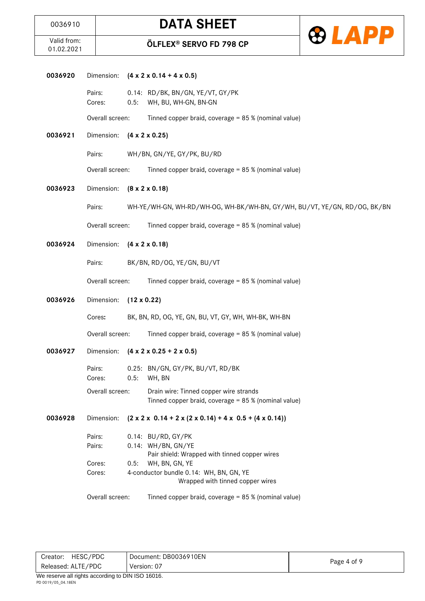

| 0036920 | Dimension:       |      | $(4 \times 2 \times 0.14 + 4 \times 0.5)$                                                      |
|---------|------------------|------|------------------------------------------------------------------------------------------------|
|         | Pairs:<br>Cores: | 0.5: | 0.14: RD/BK, BN/GN, YE/VT, GY/PK<br>WH, BU, WH-GN, BN-GN                                       |
|         | Overall screen:  |      | Tinned copper braid, coverage = 85 % (nominal value)                                           |
| 0036921 | Dimension:       |      | $(4 \times 2 \times 0.25)$                                                                     |
|         | Pairs:           |      | WH/BN, GN/YE, GY/PK, BU/RD                                                                     |
|         | Overall screen:  |      | Tinned copper braid, coverage = 85 % (nominal value)                                           |
| 0036923 | Dimension:       |      | $(8 \times 2 \times 0.18)$                                                                     |
|         | Pairs:           |      | WH-YE/WH-GN, WH-RD/WH-OG, WH-BK/WH-BN, GY/WH, BU/VT, YE/GN, RD/OG, BK/BN                       |
|         | Overall screen:  |      | Tinned copper braid, coverage = 85 % (nominal value)                                           |
| 0036924 | Dimension:       |      | $(4 \times 2 \times 0.18)$                                                                     |
|         | Pairs:           |      | BK/BN, RD/OG, YE/GN, BU/VT                                                                     |
|         | Overall screen:  |      | Tinned copper braid, coverage = 85 % (nominal value)                                           |
| 0036926 | Dimension:       |      | $(12 \times 0.22)$                                                                             |
|         | Cores:           |      | BK, BN, RD, OG, YE, GN, BU, VT, GY, WH, WH-BK, WH-BN                                           |
|         | Overall screen:  |      | Tinned copper braid, coverage = 85 % (nominal value)                                           |
| 0036927 | Dimension:       |      | $(4 \times 2 \times 0.25 + 2 \times 0.5)$                                                      |
|         | Pairs:<br>Cores: |      | 0.25: BN/GN, GY/PK, BU/VT, RD/BK<br>0.5: WH, BN                                                |
|         | Overall screen:  |      | Drain wire: Tinned copper wire strands<br>Tinned copper braid, coverage = 85 % (nominal value) |
| 0036928 | Dimension:       |      | $(2 \times 2 \times 0.14 + 2 \times (2 \times 0.14) + 4 \times 0.5 + (4 \times 0.14))$         |
|         | Pairs:<br>Pairs: |      | 0.14: BU/RD, GY/PK<br>0.14: WH/BN, GN/YE<br>Pair shield: Wrapped with tinned copper wires      |
|         | Cores:<br>Cores: | 0.5: | WH, BN, GN, YE<br>4-conductor bundle 0.14: WH, BN, GN, YE<br>Wrapped with tinned copper wires  |
|         | Overall screen:  |      | Tinned copper braid, coverage = 85 % (nominal value)                                           |
|         |                  |      |                                                                                                |
|         |                  |      |                                                                                                |
|         |                  |      |                                                                                                |

| HESC/PDC<br>Creator: | Document: DB0036910EN |             |
|----------------------|-----------------------|-------------|
| Released: ALTE/PDC   | Version: 07           | Page 4 of 9 |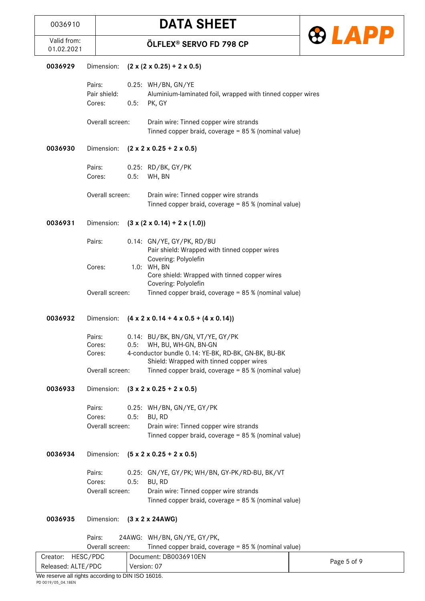

| Valid from:<br>01.02.2021 |                            |                 |                                             | <b>ÖLFLEX® SERVO FD 798 CP</b>                                                                                                                              |  |
|---------------------------|----------------------------|-----------------|---------------------------------------------|-------------------------------------------------------------------------------------------------------------------------------------------------------------|--|
| 0036929                   |                            | Dimension:      | $(2 \times (2 \times 0.25) + 2 \times 0.5)$ |                                                                                                                                                             |  |
|                           | Pairs:<br>Cores:           | Pair shield:    | 0.5:                                        | 0.25: WH/BN, GN/YE<br>Aluminium-laminated foil, wrapped with tinned copper wires<br>PK, GY                                                                  |  |
|                           |                            | Overall screen: |                                             | Drain wire: Tinned copper wire strands<br>Tinned copper braid, coverage = 85 % (nominal value)                                                              |  |
| 0036930                   |                            | Dimension:      |                                             | $(2 \times 2 \times 0.25 + 2 \times 0.5)$                                                                                                                   |  |
|                           | Pairs:<br>Cores:           |                 | 0.5:                                        | 0.25: RD/BK, GY/PK<br>WH, BN                                                                                                                                |  |
|                           |                            | Overall screen: |                                             | Drain wire: Tinned copper wire strands<br>Tinned copper braid, coverage = 85 % (nominal value)                                                              |  |
| 0036931                   |                            | Dimension:      |                                             | $(3 \times (2 \times 0.14) + 2 \times (1.0))$                                                                                                               |  |
|                           | Pairs:                     |                 |                                             | 0.14: GN/YE, GY/PK, RD/BU<br>Pair shield: Wrapped with tinned copper wires<br>Covering: Polyolefin                                                          |  |
|                           | Cores:                     |                 |                                             | 1.0: WH, BN<br>Core shield: Wrapped with tinned copper wires<br>Covering: Polyolefin                                                                        |  |
|                           |                            | Overall screen: |                                             | Tinned copper braid, coverage = 85 % (nominal value)                                                                                                        |  |
| 0036932                   | Dimension:                 |                 |                                             | $(4 \times 2 \times 0.14 + 4 \times 0.5 + (4 \times 0.14))$                                                                                                 |  |
|                           | Pairs:<br>Cores:<br>Cores: |                 | 0.5:                                        | 0.14: BU/BK, BN/GN, VT/YE, GY/PK<br>WH, BU, WH-GN, BN-GN<br>4-conductor bundle 0.14: YE-BK, RD-BK, GN-BK, BU-BK<br>Shield: Wrapped with tinned copper wires |  |
|                           |                            | Overall screen: |                                             | Tinned copper braid, coverage = 85 % (nominal value)                                                                                                        |  |
| 0036933                   |                            | Dimension:      |                                             | $(3 \times 2 \times 0.25 + 2 \times 0.5)$                                                                                                                   |  |
|                           | Pairs:<br>Cores:           | Overall screen: | 0.5:                                        | 0.25: WH/BN, GN/YE, GY/PK<br>BU, RD<br>Drain wire: Tinned copper wire strands                                                                               |  |
|                           |                            |                 |                                             | Tinned copper braid, coverage = 85 % (nominal value)                                                                                                        |  |
| 0036934                   |                            | Dimension:      |                                             | $(5 \times 2 \times 0.25 + 2 \times 0.5)$                                                                                                                   |  |
|                           | Pairs:<br>Cores:           |                 | 0.5:                                        | 0.25: GN/YE, GY/PK; WH/BN, GY-PK/RD-BU, BK/VT<br>BU, RD                                                                                                     |  |
|                           |                            | Overall screen: |                                             | Drain wire: Tinned copper wire strands<br>Tinned copper braid, coverage = 85 % (nominal value)                                                              |  |
| 0036935                   |                            | Dimension:      |                                             | (3 x 2 x 24AWG)                                                                                                                                             |  |
|                           | Pairs:                     | Overall screen: |                                             | 24AWG: WH/BN, GN/YE, GY/PK,<br>Tinned copper braid, coverage = $85\%$ (nominal value)                                                                       |  |

| OVEI AII SUI CEII. | $\frac{1}{1}$ intricu copper braid, coverage $\sim$ 00 % (nominal value) |             |  |
|--------------------|--------------------------------------------------------------------------|-------------|--|
| Creator: HESC/PDC  | Document: DB0036910EN                                                    |             |  |
| Released: ALTE/PDC | Version: 07                                                              | Page 5 of 9 |  |
|                    |                                                                          |             |  |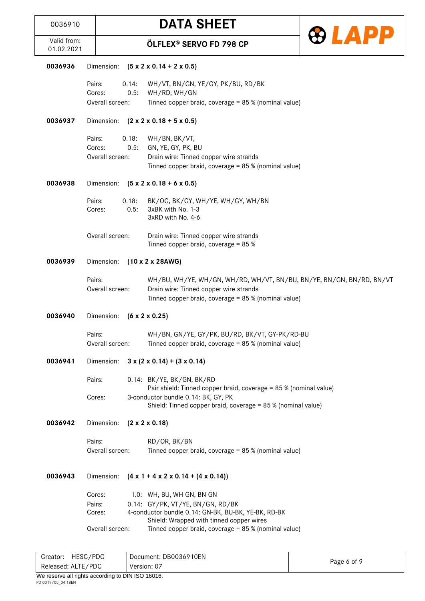**DATA SHEET** 





| 0036936 | Dimension:      | $(5 \times 2 \times 0.14 + 2 \times 0.5)$                                                           |
|---------|-----------------|-----------------------------------------------------------------------------------------------------|
|         | Pairs:<br>0.14: | WH/VT, BN/GN, YE/GY, PK/BU, RD/BK                                                                   |
|         | Cores:<br>0.5:  | WH/RD; WH/GN                                                                                        |
|         | Overall screen: | Tinned copper braid, coverage = 85 % (nominal value)                                                |
| 0036937 | Dimension:      | $(2 \times 2 \times 0.18 + 5 \times 0.5)$                                                           |
|         | 0.18:<br>Pairs: | WH/BN, BK/VT,                                                                                       |
|         | Cores:<br>0.5:  | GN, YE, GY, PK, BU                                                                                  |
|         | Overall screen: | Drain wire: Tinned copper wire strands                                                              |
|         |                 | Tinned copper braid, coverage = 85 % (nominal value)                                                |
| 0036938 | Dimension:      | $(5 \times 2 \times 0.18 + 6 \times 0.5)$                                                           |
|         | Pairs:<br>0.18: | BK/OG, BK/GY, WH/YE, WH/GY, WH/BN                                                                   |
|         | 0.5:<br>Cores:  | 3xBK with No. 1-3                                                                                   |
|         |                 | 3xRD with No. 4-6                                                                                   |
|         | Overall screen: | Drain wire: Tinned copper wire strands                                                              |
|         |                 | Tinned copper braid, coverage = 85 %                                                                |
| 0036939 | Dimension:      | $(10 \times 2 \times 28$ AWG)                                                                       |
|         | Pairs:          | WH/BU, WH/YE, WH/GN, WH/RD, WH/VT, BN/BU, BN/YE, BN/GN, BN/RD, BN/VT                                |
|         | Overall screen: | Drain wire: Tinned copper wire strands                                                              |
|         |                 | Tinned copper braid, coverage = 85 % (nominal value)                                                |
| 0036940 | Dimension:      | $(6 \times 2 \times 0.25)$                                                                          |
|         | Pairs:          | WH/BN, GN/YE, GY/PK, BU/RD, BK/VT, GY-PK/RD-BU                                                      |
|         | Overall screen: | Tinned copper braid, coverage = 85 % (nominal value)                                                |
| 0036941 | Dimension:      | $3 \times (2 \times 0.14) + (3 \times 0.14)$                                                        |
|         | Pairs:          | 0.14: BK/YE, BK/GN, BK/RD                                                                           |
|         |                 | Pair shield: Tinned copper braid, coverage = 85 % (nominal value)                                   |
|         | Cores:          | 3-conductor bundle 0.14: BK, GY, PK<br>Shield: Tinned copper braid, coverage = 85 % (nominal value) |
| 0036942 | Dimension:      | $(2 \times 2 \times 0.18)$                                                                          |
|         | Pairs:          | RD/OR, BK/BN                                                                                        |
|         | Overall screen: | Tinned copper braid, coverage = 85 % (nominal value)                                                |
|         |                 |                                                                                                     |
| 0036943 | Dimension:      | $(4 \times 1 + 4 \times 2 \times 0.14 + (4 \times 0.14))$                                           |
|         | Cores:          | 1.0: WH, BU, WH-GN, BN-GN                                                                           |
|         | Pairs:          | 0.14: GY/PK, VT/YE, BN/GN, RD/BK                                                                    |
|         | Cores:          | 4-conductor bundle 0.14: GN-BK, BU-BK, YE-BK, RD-BK                                                 |
|         | Overall screen: | Shield: Wrapped with tinned copper wires<br>Tinned copper braid, coverage = 85 % (nominal value)    |
|         |                 |                                                                                                     |

| Creator: HESC/PDC                                                  | Document: DB0036910EN | Page 6 of 9 |  |  |
|--------------------------------------------------------------------|-----------------------|-------------|--|--|
| Released: ALTE/PDC                                                 | Version: 07           |             |  |  |
| $M_{\odot}$ are reasonably the contraction of <b>DIMITOO 40040</b> |                       |             |  |  |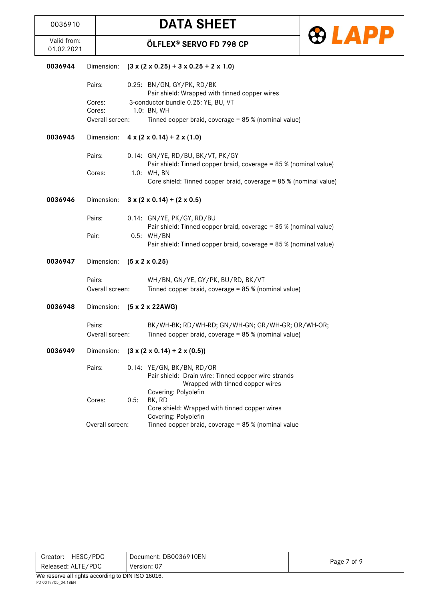

| 0036944 | Dimension:      |      | $(3 \times (2 \times 0.25) + 3 \times 0.25 + 2 \times 1.0)$                                           |
|---------|-----------------|------|-------------------------------------------------------------------------------------------------------|
|         | Pairs:          |      | 0.25: BN/GN, GY/PK, RD/BK<br>Pair shield: Wrapped with tinned copper wires                            |
|         | Cores:          |      | 3-conductor bundle 0.25: YE, BU, VT                                                                   |
|         | Cores:          |      | 1.0: BN, WH                                                                                           |
|         | Overall screen: |      | Tinned copper braid, coverage = 85 % (nominal value)                                                  |
| 0036945 | Dimension:      |      | $4 \times (2 \times 0.14) + 2 \times (1.0)$                                                           |
|         | Pairs:          |      | 0.14: GN/YE, RD/BU, BK/VT, PK/GY<br>Pair shield: Tinned copper braid, coverage = 85 % (nominal value) |
|         | Cores:          |      | 1.0: WH, BN                                                                                           |
|         |                 |      | Core shield: Tinned copper braid, coverage = 85 % (nominal value)                                     |
| 0036946 | Dimension:      |      | $3 \times (2 \times 0.14) + (2 \times 0.5)$                                                           |
|         | Pairs:          |      | 0.14: GN/YE, PK/GY, RD/BU                                                                             |
|         |                 |      | Pair shield: Tinned copper braid, coverage = 85 % (nominal value)                                     |
|         | Pair:           |      | 0.5: WH/BN<br>Pair shield: Tinned copper braid, coverage = 85 % (nominal value)                       |
|         |                 |      |                                                                                                       |
| 0036947 | Dimension:      |      | $(5 \times 2 \times 0.25)$                                                                            |
|         | Pairs:          |      | WH/BN, GN/YE, GY/PK, BU/RD, BK/VT                                                                     |
|         | Overall screen: |      | Tinned copper braid, coverage = 85 % (nominal value)                                                  |
|         |                 |      |                                                                                                       |
| 0036948 | Dimension:      |      | $(5 \times 2 \times 22AWG)$                                                                           |
|         | Pairs:          |      | BK/WH-BK; RD/WH-RD; GN/WH-GN; GR/WH-GR; OR/WH-OR;                                                     |
|         | Overall screen: |      | Tinned copper braid, coverage = 85 % (nominal value)                                                  |
|         |                 |      |                                                                                                       |
| 0036949 | Dimension:      |      | $(3 \times (2 \times 0.14) + 2 \times (0.5))$                                                         |
|         | Pairs:          |      | 0.14: YE/GN, BK/BN, RD/OR                                                                             |
|         |                 |      | Pair shield: Drain wire: Tinned copper wire strands<br>Wrapped with tinned copper wires               |
|         |                 |      | Covering: Polyolefin                                                                                  |
|         | Cores:          | 0.5: | BK, RD                                                                                                |
|         |                 |      | Core shield: Wrapped with tinned copper wires                                                         |
|         | Overall screen: |      | Covering: Polyolefin<br>Tinned copper braid, coverage = 85 % (nominal value                           |

|             | HESC/PDC<br>Document: DB0036910EN<br>Creator: |             |
|-------------|-----------------------------------------------|-------------|
| Version: 07 | Released: ALTE/PDC                            | Page 7 of 9 |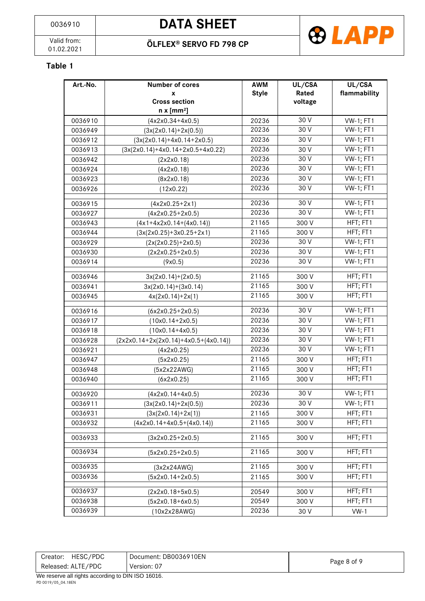01.02.2021 **ÖLFLEX® SERVO FD 798 CP**



#### **Table 1**

| Art.-No. | <b>Number of cores</b>                 | <b>AWM</b>   | UL/CSA  | UL/CSA           |
|----------|----------------------------------------|--------------|---------|------------------|
|          | X                                      | <b>Style</b> | Rated   | flammability     |
|          | <b>Cross section</b>                   |              | voltage |                  |
|          | $n \times [mm^2]$                      |              |         |                  |
| 0036910  | $(4x2x0.34+4x0.5)$                     | 20236        | 30 V    | <b>VW-1; FT1</b> |
| 0036949  | $(3x(2x0.14)+2x(0.5))$                 | 20236        | 30 V    | <b>VW-1; FT1</b> |
| 0036912  | $(3x(2x0.14)+4x0.14+2x0.5)$            | 20236        | 30 V    | <b>VW-1; FT1</b> |
| 0036913  | $(3x(2x0.14)+4x0.14+2x0.5+4x0.22)$     | 20236        | 30 V    | <b>VW-1; FT1</b> |
| 0036942  | (2x2x0.18)                             | 20236        | 30 V    | <b>VW-1; FT1</b> |
| 0036924  | (4x2x0.18)                             | 20236        | 30V     | <b>VW-1; FT1</b> |
| 0036923  | (8x2x0.18)                             | 20236        | 30 V    | <b>VW-1; FT1</b> |
| 0036926  | (12x0.22)                              | 20236        | 30 V    | <b>VW-1; FT1</b> |
| 0036915  | $(4x2x0.25+2x1)$                       | 20236        | 30 V    | <b>VW-1; FT1</b> |
| 0036927  | $(4x2x0.25+2x0.5)$                     | 20236        | 30 V    | <b>VW-1; FT1</b> |
| 0036943  | $(4x1+4x2x0.14+(4x0.14))$              | 21165        | 300 V   | HFT; FT1         |
| 0036944  | $(3x(2x0.25)+3x0.25+2x1)$              | 21165        | 300 V   | HFT; FT1         |
| 0036929  | $(2x(2x0.25)+2x0.5)$                   | 20236        | 30 V    | <b>VW-1; FT1</b> |
| 0036930  | $(2x2x0.25+2x0.5)$                     | 20236        | 30 V    | <b>VW-1; FT1</b> |
| 0036914  | (9x0.5)                                | 20236        | 30 V    | <b>VW-1; FT1</b> |
| 0036946  | $3x(2x0.14)+(2x0.5)$                   | 21165        | 300 V   | HFT; FT1         |
| 0036941  | $3x(2x0.14)+(3x0.14)$                  | 21165        | 300 V   | HFT; FT1         |
| 0036945  | $4x(2x0.14)+2x(1)$                     | 21165        | 300 V   | HFT; FT1         |
| 0036916  | $(6x2x0.25+2x0.5)$                     | 20236        | 30 V    | <b>VW-1; FT1</b> |
| 0036917  | $(10x0.14+2x0.5)$                      | 20236        | 30 V    | <b>VW-1; FT1</b> |
| 0036918  | $(10x0.14+4x0.5)$                      | 20236        | 30 V    | <b>VW-1; FT1</b> |
| 0036928  | $(2x2x0.14+2x(2x0.14)+4x0.5+(4x0.14))$ | 20236        | 30 V    | <b>VW-1; FT1</b> |
| 0036921  | (4x2x0.25)                             | 20236        | 30 V    | <b>VW-1; FT1</b> |
| 0036947  | (5x2x0.25)                             | 21165        | 300 V   | HFT; FT1         |
| 0036948  | (5x2x22AWG)                            | 21165        | 300 V   | HFT; FT1         |
| 0036940  | (6x2x0.25)                             | 21165        | 300 V   | HFT; FT1         |
| 0036920  | (4x2x0.14+4x0.5)                       | 20236        | 30 V    | <b>VW-1; FT1</b> |
| 0036911  | $(3x(2x0.14)+2x(0.5))$                 | 20236        | 30 V    | <b>VW-1; FT1</b> |
| 0036931  | $(3x(2x0.14)+2x(1))$                   | 21165        | 300 V   | HFT; FT1         |
| 0036932  | $(4x2x0.14+4x0.5+(4x0.14))$            | 21165        | 300 V   | HFT; FT1         |
| 0036933  | $(3x2x0.25+2x0.5)$                     | 21165        | 300 V   | HFT; FT1         |
| 0036934  | $(5x2x0.25+2x0.5)$                     | 21165        | 300 V   | HFT; FT1         |
| 0036935  | (3x2x24AWG)                            | 21165        | 300 V   | HFT; FT1         |
| 0036936  | $(5x2x0.14+2x0.5)$                     | 21165        | 300 V   | HFT; FT1         |
| 0036937  | $(2x2x0.18+5x0.5)$                     | 20549        | 300 V   | HFT; FT1         |
| 0036938  | $(5x2x0.18+6x0.5)$                     | 20549        | 300 V   | HFT; FT1         |
| 0036939  | (10x2x28AWG)                           | 20236        | 30 V    | $VW-1$           |

| HESC/PDC<br>Creator:    | Document: DB0036910EN |             |  |  |
|-------------------------|-----------------------|-------------|--|--|
| Released: ALTE/PDC      | Version: 07           | Page 8 of 9 |  |  |
| B1111A011A1A1<br>.<br>. |                       |             |  |  |